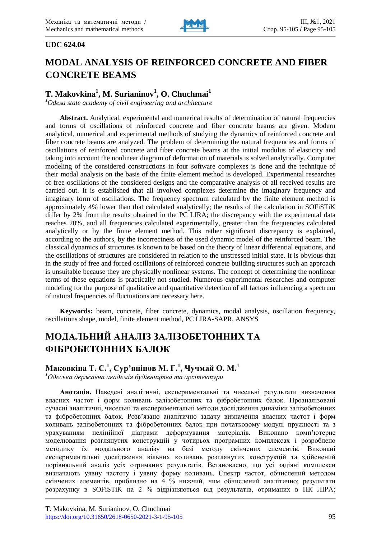

### **UDC 624.04**

# **MODAL ANALYSIS OF REINFORCED CONCRETE AND FIBER CONCRETE BEAMS**

# **T. Makovkina<sup>1</sup> , M. Surianinov<sup>1</sup> , O. Chuchmai<sup>1</sup>**

*<sup>1</sup>Odesa state academy of civil engineering and architecture*

**Abstract.** Analytical, experimental and numerical results of determination of natural frequencies and forms of oscillations of reinforced concrete and fiber concrete beams are given. Modern analytical, numerical and experimental methods of studying the dynamics of reinforced concrete and fiber concrete beams are analyzed. The problem of determining the natural frequencies and forms of oscillations of reinforced concrete and fiber concrete beams at the initial modulus of elasticity and taking into account the nonlinear diagram of deformation of materials is solved analytically. Computer modeling of the considered constructions in four software complexes is done and the technique of their modal analysis on the basis of the finite element method is developed. Experimental researches of free oscillations of the considered designs and the comparative analysis of all received results are carried out. It is established that all involved complexes determine the imaginary frequency and imaginary form of oscillations. The frequency spectrum calculated by the finite element method is approximately 4% lower than that calculated analytically; the results of the calculation in SOFiSTiK differ by 2% from the results obtained in the PC LIRA; the discrepancy with the experimental data reaches 20%, and all frequencies calculated experimentally, greater than the frequencies calculated analytically or by the finite element method. This rather significant discrepancy is explained, according to the authors, by the incorrectness of the used dynamic model of the reinforced beam. The classical dynamics of structures is known to be based on the theory of linear differential equations, and the oscillations of structures are considered in relation to the unstressed initial state. It is obvious that in the study of free and forced oscillations of reinforced concrete building structures such an approach is unsuitable because they are physically nonlinear systems. The concept of determining the nonlinear terms of these equations is practically not studied. Numerous experimental researches and computer modeling for the purpose of qualitative and quantitative detection of all factors influencing a spectrum of natural frequencies of fluctuations are necessary here.

**Keywords:** beam, concrete, fiber concrete, dynamics, modal analysis, oscillation frequency, oscillations shape, model, finite element method, PC LIRA-SAPR, ANSYS

# **МОДАЛЬНИЙ АНАЛІЗ ЗАЛІЗОБЕТОННИХ ТА ФІБРОБЕТОННИХ БАЛОК**

**Маковкіна Т. С.<sup>1</sup> , Сур'янінов М. Г.<sup>1</sup> , Чучмай О. М.<sup>1</sup>**

*<sup>1</sup>Одеська державна академія будівництва та архітектури*

**Анотація.** Наведені аналітичні, експериментальні та чисельні результати визначення власних частот і форм коливань залізобетонних та фібробетонних балок. Проаналізовані сучасні аналітичні, чисельні та експериментальні методи дослідження динаміки залізобетонних та фібробетонних балок. Розв'язано аналітично задачу визначення власних частот і форм коливань залізобетонних та фібробетонних балок при початковому модулі пружності та з урахуванням нелінійної діаграми деформування матеріалів. Виконано комп'ютерне моделювання розглянутих конструкцій у чотирьох програмних комплексах і розроблено методику їх модального аналізу на базі методу скінчених елементів. Виконані експериментальні дослідження вільних коливань розглянутих конструкцій та здійснений порівняльний аналіз усіх отриманих результатів. Встановлено, що усі задіяні комплекси визначають уявну частоту і уявну форму коливань. Спектр частот, обчислений методом скінчених елементів, приблизно на 4 % нижчий, чим обчислений аналітично; результати розрахунку в SOFiSTiK на 2 % відрізняються від результатів, отриманих в ПК ЛІРА;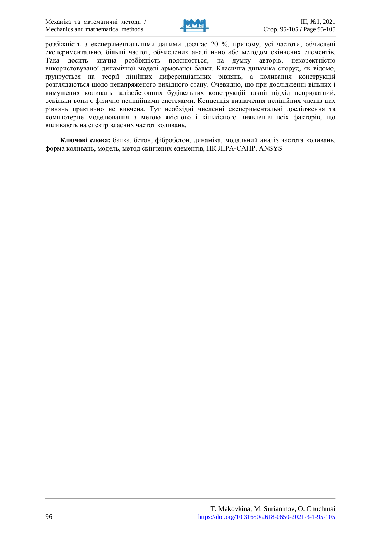

розбіжність з експериментальними даними досягає 20 %, причому, усі частоти, обчислені експериментально, більші частот, обчислених аналітично або методом скінчених елементів. Така досить значна розбіжність пояснюється, на думку авторів, некоректністю використовуваної динамічної моделі армованої балки. Класична динаміка споруд, як відомо, ґрунтується на теорії лінійних диференціальних рівнянь, а коливання конструкцій розглядаються щодо ненапряженого вихідного стану. Очевидно, що при дослідженні вільних і вимушених коливань залізобетонних будівельних конструкцій такий підхід непридатний, оскільки вони є фізично нелінійними системами. Концепція визначення нелінійних членів цих рівнянь практично не вивчена. Тут необхідні численні експериментальні дослідження та комп'ютерне моделювання з метою якісного і кількісного виявлення всіх факторів, що впливають на спектр власних частот коливань.

**Ключові слова:** балка, бетон, фібробетон, динаміка, модальний аналіз частота коливань, форма коливань, модель, метод скінчених елементів, ПК ЛІРА-САПР, ANSYS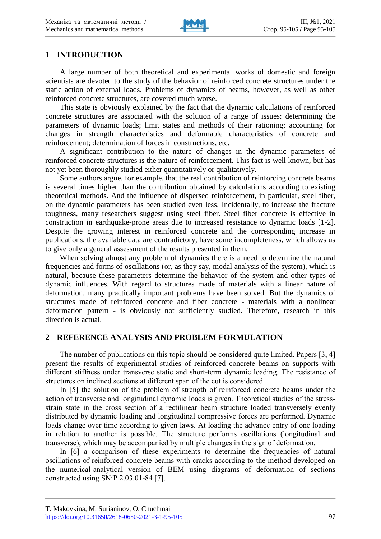

## **1 INTRODUCTION**

A large number of both theoretical and experimental works of domestic and foreign scientists are devoted to the study of the behavior of reinforced concrete structures under the static action of external loads. Problems of dynamics of beams, however, as well as other reinforced concrete structures, are covered much worse.

This state is obviously explained by the fact that the dynamic calculations of reinforced concrete structures are associated with the solution of a range of issues: determining the parameters of dynamic loads; limit states and methods of their rationing; accounting for changes in strength characteristics and deformable characteristics of concrete and reinforcement; determination of forces in constructions, etc.

A significant contribution to the nature of changes in the dynamic parameters of reinforced concrete structures is the nature of reinforcement. This fact is well known, but has not yet been thoroughly studied either quantitatively or qualitatively.

Some authors argue, for example, that the real contribution of reinforcing concrete beams is several times higher than the contribution obtained by calculations according to existing theoretical methods. And the influence of dispersed reinforcement, in particular, steel fiber, on the dynamic parameters has been studied even less. Incidentally, to increase the fracture toughness, many researchers suggest using steel fiber. Steel fiber concrete is effective in construction in earthquake-prone areas due to increased resistance to dynamic loads [1-2]. Despite the growing interest in reinforced concrete and the corresponding increase in publications, the available data are contradictory, have some incompleteness, which allows us to give only a general assessment of the results presented in them.

When solving almost any problem of dynamics there is a need to determine the natural frequencies and forms of oscillations (or, as they say, modal analysis of the system), which is natural, because these parameters determine the behavior of the system and other types of dynamic influences. With regard to structures made of materials with a linear nature of deformation, many practically important problems have been solved. But the dynamics of structures made of reinforced concrete and fiber concrete - materials with a nonlinear deformation pattern - is obviously not sufficiently studied. Therefore, research in this direction is actual.

## **2 REFERENCE ANALYSIS AND PROBLEM FORMULATION**

The number of publications on this topic should be considered quite limited. Papers [3, 4] present the results of experimental studies of reinforced concrete beams on supports with different stiffness under transverse static and short-term dynamic loading. The resistance of structures on inclined sections at different span of the cut is considered.

In [5] the solution of the problem of strength of reinforced concrete beams under the action of transverse and longitudinal dynamic loads is given. Theoretical studies of the stressstrain state in the cross section of a rectilinear beam structure loaded transversely evenly distributed by dynamic loading and longitudinal compressive forces are performed. Dynamic loads change over time according to given laws. At loading the advance entry of one loading in relation to another is possible. The structure performs oscillations (longitudinal and transverse), which may be accompanied by multiple changes in the sign of deformation.

In [6] a comparison of these experiments to determine the frequencies of natural oscillations of reinforced concrete beams with cracks according to the method developed on the numerical-analytical version of BEM using diagrams of deformation of sections constructed using SNiP 2.03.01-84 [7].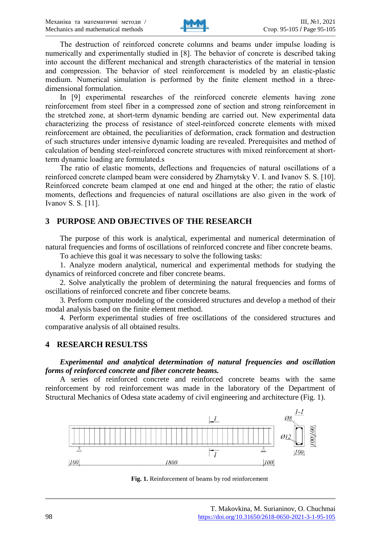

The destruction of reinforced concrete columns and beams under impulse loading is numerically and experimentally studied in [8]. The behavior of concrete is described taking into account the different mechanical and strength characteristics of the material in tension and compression. The behavior of steel reinforcement is modeled by an elastic-plastic medium. Numerical simulation is performed by the finite element method in a threedimensional formulation.

In [9] experimental researches of the reinforced concrete elements having zone reinforcement from steel fiber in a compressed zone of section and strong reinforcement in the stretched zone, at short-term dynamic bending are carried out. New experimental data characterizing the process of resistance of steel-reinforced concrete elements with mixed reinforcement are obtained, the peculiarities of deformation, crack formation and destruction of such structures under intensive dynamic loading are revealed. Prerequisites and method of calculation of bending steel-reinforced concrete structures with mixed reinforcement at shortterm dynamic loading are formulated.s

The ratio of elastic moments, deflections and frequencies of natural oscillations of a reinforced concrete clamped beam were considered by Zharnytsky V. I. and Ivanov S. S. [10]. Reinforced concrete beam clamped at one end and hinged at the other; the ratio of elastic moments, deflections and frequencies of natural oscillations are also given in the work of Ivanov S. S. [11].

## **3 PURPOSE AND OBJECTIVES OF THE RESEARCH**

The purpose of this work is analytical, experimental and numerical determination of natural frequencies and forms of oscillations of reinforced concrete and fiber concrete beams.

To achieve this goal it was necessary to solve the following tasks:

1. Analyze modern analytical, numerical and experimental methods for studying the dynamics of reinforced concrete and fiber concrete beams.

2. Solve analytically the problem of determining the natural frequencies and forms of oscillations of reinforced concrete and fiber concrete beams.

3. Perform computer modeling of the considered structures and develop a method of their modal analysis based on the finite element method.

4. Perform experimental studies of free oscillations of the considered structures and comparative analysis of all obtained results.

## **4 RESEARCH RESULTSS**

*Experimental and analytical determination of natural frequencies and oscillation forms of reinforced concrete and fiber concrete beams.*

A series of reinforced concrete and reinforced concrete beams with the same reinforcement by rod reinforcement was made in the laboratory of the Department of Structural Mechanics of Odesa state academy of civil engineering and architecture (Fig. 1).



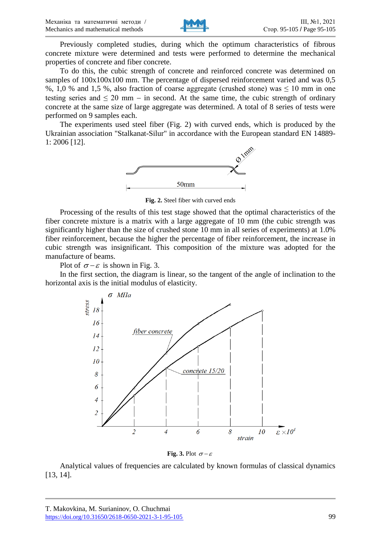

Previously completed studies, during which the optimum characteristics of fibrous concrete mixture were determined and tests were performed to determine the mechanical properties of concrete and fiber concrete.

To do this, the cubic strength of concrete and reinforced concrete was determined on samples of  $100x100x100$  mm. The percentage of dispersed reinforcement varied and was 0,5 %, 1,0 % and 1,5 %, also fraction of coarse aggregate (crushed stone) was ≤ 10 mm in one testing series and  $\leq 20$  mm – in second. At the same time, the cubic strength of ordinary concrete at the same size of large aggregate was determined. A total of 8 series of tests were performed on 9 samples each.

The experiments used steel fiber (Fig. 2) with curved ends, which is produced by the Ukrainian association "Stalkanat-Silur" in accordance with the European standard EN 14889- 1: 2006 [12].



**Fig. 2.** Steel fiber with curved ends

Processing of the results of this test stage showed that the optimal characteristics of the fiber concrete mixture is a matrix with a large aggregate of 10 mm (the cubic strength was significantly higher than the size of crushed stone 10 mm in all series of experiments) at 1.0% fiber reinforcement, because the higher the percentage of fiber reinforcement, the increase in cubic strength was insignificant. This composition of the mixture was adopted for the manufacture of beams.

Plot of  $\sigma - \varepsilon$  is shown in Fig. 3.

In the first section, the diagram is linear, so the tangent of the angle of inclination to the horizontal axis is the initial modulus of elasticity.



**Fig. 3.** Plot  $\sigma-\varepsilon$ 

Analytical values of frequencies are calculated by known formulas of classical dynamics [13, 14].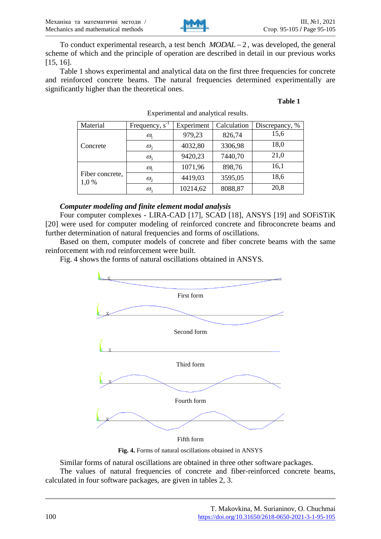

To conduct experimental research, a test bench  $MODAL-2$ , was developed, the general scheme of which and the principle of operation are described in detail in our previous works [15, 16].

Table 1 shows experimental and analytical data on the first three frequencies for concrete and reinforced concrete beams. The natural frequencies determined experimentally are significantly higher than the theoretical ones.

#### **Table 1**

| Material                 | Frequency, $s^{-1}$             | Experiment | Calculation | Discrepancy, % |  |
|--------------------------|---------------------------------|------------|-------------|----------------|--|
|                          | $\omega_{1}$                    | 979,23     | 826,74      | 15,6           |  |
| Concrete                 | $\omega_{2}$                    | 4032,80    | 3306,98     | 18,0           |  |
|                          | $\omega_{3}$                    | 9420,23    | 7440,70     | 21,0           |  |
|                          | $\omega_{1}$                    | 1071,96    | 898,76      | 16,1           |  |
| Fiber concrete,<br>1,0 % | $\omega_{2}$                    | 4419,03    | 3595,05     | 18,6           |  |
|                          | $\omega_{\scriptscriptstyle 2}$ | 10214,62   | 8088,87     | 20,8           |  |

#### Experimental and analytical results.

### *Computer modeling and finite element modal analysis*

Four computer complexes - LIRA-CAD [17], SCAD [18], ANSYS [19] and SOFiSTiK [20] were used for computer modeling of reinforced concrete and fibroconcrete beams and further determination of natural frequencies and forms of oscillations.

Based on them, computer models of concrete and fiber concrete beams with the same reinforcement with rod reinforcement were built.

Fig. 4 shows the forms of natural oscillations obtained in ANSYS.



Fifth form

**Fig. 4.** Forms of natural oscillations obtained in ANSYS

Similar forms of natural oscillations are obtained in three other software packages.

The values of natural frequencies of concrete and fiber-reinforced concrete beams, calculated in four software packages, are given in tables 2, 3.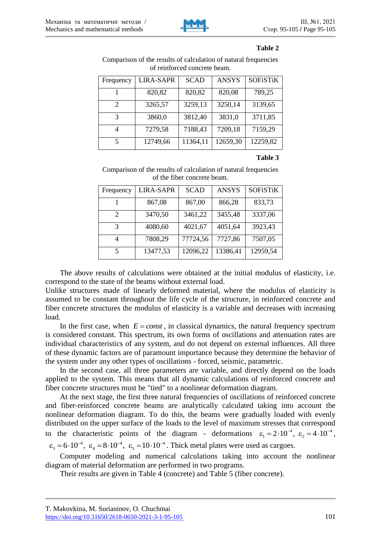

#### **Table 2**

Comparison of the results of calculation of natural frequencies of reinforced concrete beam.

| Frequency             | <b>LIRA-SAPR</b> | <b>SCAD</b> | <b>ANSYS</b> | <b>SOFiSTIK</b> |
|-----------------------|------------------|-------------|--------------|-----------------|
|                       | 820,82           | 820,82      | 820,08       | 789,25          |
| $\mathcal{D}_{\cdot}$ | 3265,57          | 3259,13     | 3250,14      | 3139,65         |
| 3                     | 3860,0           | 3812,40     | 3831,0       | 3711,85         |
|                       | 7279,58          | 7188,43     | 7209,18      | 7159,29         |
| 5.                    | 12749,66         | 11364,11    | 12659,30     | 12259,82        |

### **Table 3**

Comparison of the results of calculation of natural frequencies of the fiber concrete beam.

| Frequency                   | <b>LIRA-SAPR</b> | <b>SCAD</b> | <b>ANSYS</b> | <b>SOFiSTIK</b> |
|-----------------------------|------------------|-------------|--------------|-----------------|
|                             | 867,08           | 867,00      | 866,28       | 833,73          |
| $\mathcal{D}_{\mathcal{A}}$ | 3470,50          | 3461,22     | 3455,48      | 3337,06         |
| 3                           | 4080,60          | 4021,67     | 4051,64      | 3923,43         |
|                             | 7808,29          | 77724,56    | 7727,86      | 7507,05         |
|                             | 13477,53         | 12096,22    | 13386,41     | 12959,54        |

The above results of calculations were obtained at the initial modulus of elasticity, i.e. correspond to the state of the beams without external load.

Unlike structures made of linearly deformed material, where the modulus of elasticity is assumed to be constant throughout the life cycle of the structure, in reinforced concrete and fiber concrete structures the modulus of elasticity is a variable and decreases with increasing load.

In the first case, when  $E = const$ , in classical dynamics, the natural frequency spectrum is considered constant. This spectrum, its own forms of oscillations and attenuation rates are individual characteristics of any system, and do not depend on external influences. All three of these dynamic factors are of paramount importance because they determine the behavior of the system under any other types of oscillations - forced, seismic, parametric.

In the second case, all three parameters are variable, and directly depend on the loads applied to the system. This means that all dynamic calculations of reinforced concrete and fiber concrete structures must be "tied" to a nonlinear deformation diagram.

At the next stage, the first three natural frequencies of oscillations of reinforced concrete and fiber-reinforced concrete beams are analytically calculated taking into account the nonlinear deformation diagram. To do this, the beams were gradually loaded with evenly distributed on the upper surface of the loads to the level of maximum stresses that correspond to the characteristic points of the diagram - deformations  $\varepsilon_1 = 2 \cdot 10^{-4}$ ,  $\varepsilon_2 = 4 \cdot 10^{-4}$ ,

 $\varepsilon_3 = 6 \cdot 10^{-4}$ ,  $\varepsilon_4 = 8 \cdot 10^{-4}$ ,  $\varepsilon_5 = 10 \cdot 10^{-4}$ . Thick metal plates were used as cargoes.

Computer modeling and numerical calculations taking into account the nonlinear diagram of material deformation are performed in two programs.

Their results are given in Table 4 (concrete) and Table 5 (fiber concrete).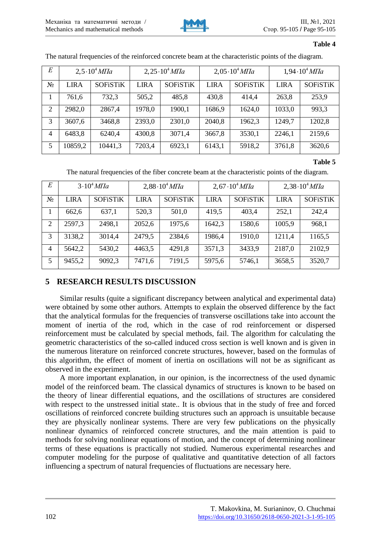

#### **Table 4**

| E              | $2,5.10^{4}$ MTIa |                 | $2,25 \cdot 10^4$ MTIa |                 | $2,05 \cdot 10^4$ MTIa |                 | $1,94 \cdot 10^4$ MTIa |                 |
|----------------|-------------------|-----------------|------------------------|-----------------|------------------------|-----------------|------------------------|-----------------|
| $N_2$          | <b>LIRA</b>       | <b>SOFiSTIK</b> | <b>LIRA</b>            | <b>SOFiSTIK</b> | <b>LIRA</b>            | <b>SOFISTIK</b> | <b>LIRA</b>            | <b>SOFiSTIK</b> |
| 1              | 761,6             | 732,3           | 505,2                  | 485,8           | 430,8                  | 414,4           | 263,8                  | 253,9           |
| 2              | 2982,0            | 2867,4          | 1978,0                 | 1900,1          | 1686,9                 | 1624,0          | 1033,0                 | 993.3           |
| 3              | 3607,6            | 3468,8          | 2393,0                 | 2301,0          | 2040,8                 | 1962,3          | 1249,7                 | 1202,8          |
| $\overline{4}$ | 6483,8            | 6240,4          | 4300,8                 | 3071,4          | 3667,8                 | 3530,1          | 2246,1                 | 2159,6          |
| 5              | 10859,2           | 10441,3         | 7203,4                 | 6923,1          | 6143,1                 | 5918,2          | 3761,8                 | 3620,6          |

The natural frequencies of the reinforced concrete beam at the characteristic points of the diagram.

#### **Table 5**

The natural frequencies of the fiber concrete beam at the characteristic points of the diagram.

| E              | 3.10 <sup>4</sup> M <sub>7</sub> |                 | $2,88 \cdot 10^4$ MTIa |                 | $2,67 \cdot 10^4$ MTIa |                 | $2,38 \cdot 10^4$ MTIa |                 |
|----------------|----------------------------------|-----------------|------------------------|-----------------|------------------------|-----------------|------------------------|-----------------|
| $N_2$          | <b>LIRA</b>                      | <b>SOFiSTIK</b> | <b>LIRA</b>            | <b>SOFiSTIK</b> | <b>LIRA</b>            | <b>SOFiSTIK</b> | <b>LIRA</b>            | <b>SOFISTIK</b> |
|                | 662,6                            | 637,1           | 520,3                  | 501,0           | 419.5                  | 403,4           | 252,1                  | 242,4           |
| 2              | 2597,3                           | 2498,1          | 2052,6                 | 1975,6          | 1642,3                 | 1580,6          | 1005,9                 | 968,1           |
| 3              | 3138,2                           | 3014,4          | 2479.5                 | 2384,6          | 1986,4                 | 1910,0          | 1211,4                 | 1165,5          |
| $\overline{4}$ | 5642,2                           | 5430,2          | 4463.5                 | 4291,8          | 3571,3                 | 3433,9          | 2187,0                 | 2102,9          |
| 5              | 9455,2                           | 9092,3          | 7471,6                 | 7191,5          | 5975,6                 | 5746,1          | 3658,5                 | 3520,7          |

# **5 RESEARCH RESULTS DISCUSSION**

Similar results (quite a significant discrepancy between analytical and experimental data) were obtained by some other authors. Attempts to explain the observed difference by the fact that the analytical formulas for the frequencies of transverse oscillations take into account the moment of inertia of the rod, which in the case of rod reinforcement or dispersed reinforcement must be calculated by special methods, fail. The algorithm for calculating the geometric characteristics of the so-called induced cross section is well known and is given in the numerous literature on reinforced concrete structures, however, based on the formulas of this algorithm, the effect of moment of inertia on oscillations will not be as significant as observed in the experiment.

A more important explanation, in our opinion, is the incorrectness of the used dynamic model of the reinforced beam. The classical dynamics of structures is known to be based on the theory of linear differential equations, and the oscillations of structures are considered with respect to the unstressed initial state.. It is obvious that in the study of free and forced oscillations of reinforced concrete building structures such an approach is unsuitable because they are physically nonlinear systems. There are very few publications on the physically nonlinear dynamics of reinforced concrete structures, and the main attention is paid to methods for solving nonlinear equations of motion, and the concept of determining nonlinear terms of these equations is practically not studied. Numerous experimental researches and computer modeling for the purpose of qualitative and quantitative detection of all factors influencing a spectrum of natural frequencies of fluctuations are necessary here.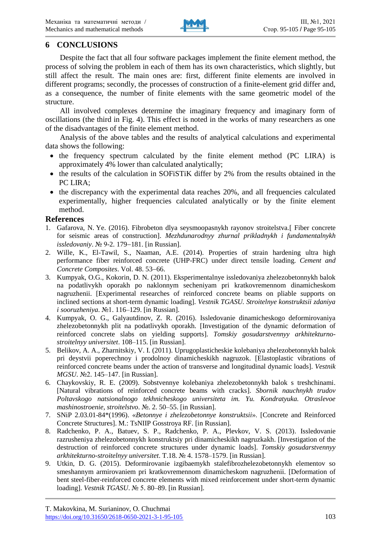

# **6 CONCLUSIONS**

Despite the fact that all four software packages implement the finite element method, the process of solving the problem in each of them has its own characteristics, which slightly, but still affect the result. The main ones are: first, different finite elements are involved in different programs; secondly, the processes of construction of a finite-element grid differ and, as a consequence, the number of finite elements with the same geometric model of the structure.

All involved complexes determine the imaginary frequency and imaginary form of oscillations (the third in Fig. 4). This effect is noted in the works of many researchers as one of the disadvantages of the finite element method.

Analysis of the above tables and the results of analytical calculations and experimental data shows the following:

- the frequency spectrum calculated by the finite element method (PC LIRA) is approximately 4% lower than calculated analytically;
- the results of the calculation in SOFiSTIK differ by 2% from the results obtained in the PC LIRA;
- $\bullet$  the discrepancy with the experimental data reaches 20%, and all frequencies calculated experimentally, higher frequencies calculated analytically or by the finite element method.

## **References**

- 1. Gafarova, N. Ye. (2016). Fibrobeton dlya seysmoopasnykh rayonov stroitelstva*.*[ Fiber concrete for seismic areas of construction]. *Mezhdunarodnyy zhurnal prikladnykh i fundamentalnykh issledovaniy.*  $\mathcal{N}_2$  9-2. 179–181. [in Russian].
- 2. Wille, K., El-Tawil, S., Naaman, A.E. (2014). Properties of strain hardening ultra high performance fiber reinforced concrete (UHP-FRC) under direct tensile loading. *Cement and Concrete Composites*. Vol. 48. 53-66.
- 3. Kumpyak, O.G., Kokorin, D. N. (2011). Eksperimentalnye issledovaniya zhelezobetonnykh balok na podatlivykh oporakh po naklonnym secheniyam pri kratkovremennom dinamicheskom nagruzhenii. [Experimental researches of reinforced concrete beams on pliable supports on inclined sections at short-term dynamic loading]. *Vestnik TGASU. Stroitelnye konstruktsii zdaniya*   $i$  sooruzheniya.  $N<sub>2</sub>1$ . 116–129. [in Russian].
- 4. Kumpyak, O. G., Galyautdinov, Z. R. (2016). Issledovanie dinamicheskogo deformirovaniya zhelezobetonnykh plit na podatlivykh oporakh. [Investigation of the dynamic deformation of reinforced concrete slabs on yielding supports]. *Tomskiy gosudarstvennyy arkhitekturnostroitelnyy universitet*. 108–115. [in Russian].
- 5. Belikov, A. A., Zharnitskiy, V. I. (2011). Uprugoplasticheskie kolebaniya zhelezobetonnykh balok pri deystvii poperechnoy i prodolnoy dinamicheskikh nagruzok. [Elastoplastic vibrations of reinforced concrete beams under the action of transverse and longitudinal dynamic loads]. *Vestnik MGSU*. №2. 145–147. [in Russian].
- 6. Chaykovskiy, R. E. (2009). Sobstvennye kolebaniya zhelezobetonnykh balok s treshchinami. [Natural vibrations of reinforced concrete beams with cracks]. *Sbornik nauchnykh trudov Poltavskogo natsionalnogo tekhnicheskogo universiteta im. Yu. Kondratyuka. Otraslevoe mashinostroenie, stroitelstvo.* № 2. 50–55. [in Russian].
- 7. SNiP 2.03.01-84\*(1996). «*Betonnye i zhelezobetonnye konstruktsii*». [Concrete and Reinforced Concrete Structures]. M.: TsNIIP Gosstroya RF. [in Russian].
- 8. Radchenko, P. A., Batuev, S. P., Radchenko, P. A., Plevkov, V. S. (2013). Issledovanie razrusheniya zhelezobetonnykh konstruktsiy pri dinamicheskikh nagruzkakh. [Investigation of the destruction of reinforced concrete structures under dynamic loads]. *Tomskiy gosudarstvennyy arkhitekturno-stroitelnyy universitet*. T.18. № 4. 1578–1579. [in Russian].
- 9. Utkin, D. G. (2015). Deformirovanie izgibaemykh stalefibrozhelezobetonnykh elementov so smeshannym armirovaniem pri kratkovremennom dinamicheskom nagruzhenii. [Deformation of bent steel-fiber-reinforced concrete elements with mixed reinforcement under short-term dynamic loading]. *Vestnik TGASU*. № 5. 80–89. [in Russian].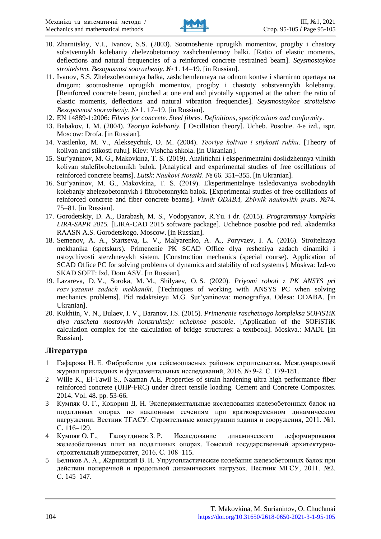

- 10. Zharnitskiy, V.I., Ivanov, S.S. (2003). Sootnoshenie uprugikh momentov, progiby i chastoty sobstvennykh kolebaniy zhelezobetonnoy zashchemlennoy balki. [Ratio of elastic moments, deflections and natural frequencies of a reinforced concrete restrained beam]. *Seysmostoykoe stroitelstvo. Bezopasnost sooruzheniy.* № 1. 14–19. [in Russian].
- 11. Ivanov, S.S. Zhelezobetonnaya balka, zashchemlennaya na odnom kontse i sharnirno opertaya na drugom: sootnoshenie uprugikh momentov, progiby i chastoty sobstvennykh kolebaniy. [Reinforced concrete beam, pinched at one end and pivotally supported at the other: the ratio of elastic moments, deflections and natural vibration frequencies]. *Seysmostoykoe stroitelstvo Bezopasnost sooruzheniy.* № 1. 17–19. [in Russian].
- 12. EN 14889-1:2006: *Fibres for concrete. Steel fibres. Definitions, specifications and conformity*.
- 13. Babakov, I. M. (2004). *Teoriya kolebaniy.* [ Oscillation theory]. Ucheb. Posobie. 4-e izd., ispr. Moscow: Drofa. [in Russian].
- 14. Vasilenko, M. V., Alekseychuk, O. M. (2004). *Teorіya kolivan і stіykostі rukhu.* [Theory of kolivan and stikosti ruhu]. Kiev: Vishcha shkola. [in Ukranian].
- 15. Sur'yanіnov, M. G., Makovkіna, T. S. (2019). Analіtichnі і eksperimentalnі doslіdzhennya vіlnikh kolivan stalefіbrobetonnikh balok. [Analytical and experimental studies of free oscillations of reinforced concrete beams]. *Lutsk: Naukovi Notatki*. № 66. 351–355. [in Ukranian].
- 16. Sur'yanіnov, M. G., Makovkіna, T. S. (2019). Eksperimentalnye issledovaniya svobodnykh kolebaniy zhelezobetonnykh i fibrobetonnykh balok. [Experimental studies of free oscillations of  $r$ einforced concrete and fiber concrete beams]. *Visnik ODABA, Zbirnik naukovikh prats*. №74.  $75-81$ . [in Russian].
- 17. Gorodetskiy, D. A., Barabash, M. S., Vodopyanov, R.Yu. i dr. (2015). *Programmnyy kompleks LIRA-SAPR 2015.* [LIRA-CAD 2015 software package]. Uchebnoe posobie pod red. akademika RAASN A.S. Gorodetskogo. Moscow. [in Russian].
- 18. Semenov, A. A., Startseva, L. V., Malyarenko, A. A., Poryvaev, I. A. (2016). Stroitelnaya mekhanika (spetskurs). Primenenie PK SCAD Office dlya resheniya zadach dinamiki i ustoychivosti sterzhnevykh sistem. [Construction mechanics (special course). Application of SCAD Office PC for solving problems of dynamics and stability of rod systems]. Moskva: Izd-vo SKAD SOFT: Izd. Dom ASV. [in Russian].
- 19. Lazareva, D. V., Soroka, M. M., Shilyaev, O. S. (2020). *Priyomi roboti z PK ANSYS pri rozv'yazannі zadach mekhanіki*. [Techniques of working with ANSYS PC when solving mechanics problems]. Pіd redaktsіeyu M.G. Sur'yanіnova: monografiya. Odesa: ODABA. [in Ukranian].
- 20. Kukhtin, V. N., Bulaev, I. V., Baranov, I.S. (2015). *Primenenie raschetnogo kompleksa SOFiSTiK dlya rascheta mostovykh konstruktsiy: uchebnoe posobie*. [Application of the SOFiSTiK calculation complex for the calculation of bridge structures: a textbook]. Moskva.: MADI. [in Russian].

## **Література**

- 1 Гафарова Н. Е. Фибробетон для сейсмоопасных районов строительства. Международный журнал прикладных и фундаментальных исследований, 2016. № 9-2. С. 179-181.
- 2 Wille K., El-Tawil S., Naaman A.E. Properties of strain hardening ultra high performance fiber reinforced concrete (UHP-FRC) under direct tensile loading. Cement and Concrete Composites. 2014. Vol. 48. pp. 53-66.
- 3 Кумпяк О. Г., Кокорин Д. Н. Экспериментальные исследования железобетонных балок на податливых опорах по наклонным сечениям при кратковременном динамическом нагружении. Вестник ТГАСУ. Строительные конструкции здания и сооружения, 2011. №1. C. 116–129.
- 4 Кумпяк О. Г., Галяутдинов З. Р. Исследование динамического деформирования железобетонных плит на податливых опорах. Томский государственный архитектурностроительный университет, 2016. С. 108–115.
- 5 Беликов А. А., Жарницкий В. И. Упругопластические колебания железобетонных балок при действии поперечной и продольной динамических нагрузок. Вестник МГСУ, 2011. №2. С. 145–147.